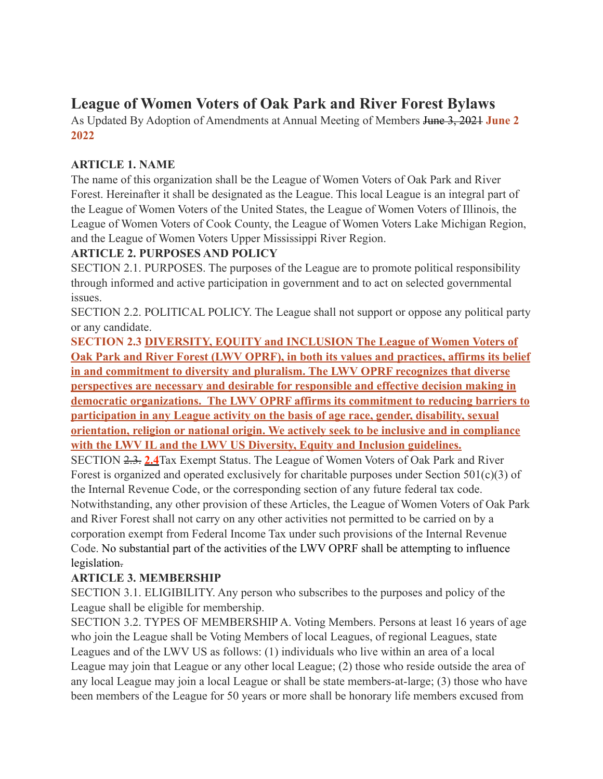# **League of Women Voters of Oak Park and River Forest Bylaws**

As Updated By Adoption of Amendments at Annual Meeting of Members June 3, 2021 **June 2 2022**

## **ARTICLE 1. NAME**

The name of this organization shall be the League of Women Voters of Oak Park and River Forest. Hereinafter it shall be designated as the League. This local League is an integral part of the League of Women Voters of the United States, the League of Women Voters of Illinois, the League of Women Voters of Cook County, the League of Women Voters Lake Michigan Region, and the League of Women Voters Upper Mississippi River Region.

# **ARTICLE 2. PURPOSES AND POLICY**

SECTION 2.1. PURPOSES. The purposes of the League are to promote political responsibility through informed and active participation in government and to act on selected governmental issues.

SECTION 2.2. POLITICAL POLICY. The League shall not support or oppose any political party or any candidate.

**SECTION 2.3 DIVERSITY, EQUITY and INCLUSION The League of Women Voters of Oak Park and River Forest (LWV OPRF), in both its values and practices, affirms its belief in and commitment to diversity and pluralism. The LWV OPRF recognizes that diverse perspectives are necessary and desirable for responsible and effective decision making in democratic organizations. The LWV OPRF affirms its commitment to reducing barriers to participation in any League activity on the basis of age race, gender, disability, sexual orientation, religion or national origin. We actively seek to be inclusive and in compliance with the LWV IL and the LWV US Diversity, Equity and Inclusion guidelines.**

SECTION 2.3. **2.4**Tax Exempt Status. The League of Women Voters of Oak Park and River Forest is organized and operated exclusively for charitable purposes under Section  $501(c)(3)$  of the Internal Revenue Code, or the corresponding section of any future federal tax code. Notwithstanding, any other provision of these Articles, the League of Women Voters of Oak Park and River Forest shall not carry on any other activities not permitted to be carried on by a corporation exempt from Federal Income Tax under such provisions of the Internal Revenue Code. No substantial part of the activities of the LWV OPRF shall be attempting to influence legislation.

# **ARTICLE 3. MEMBERSHIP**

SECTION 3.1. ELIGIBILITY. Any person who subscribes to the purposes and policy of the League shall be eligible for membership.

SECTION 3.2. TYPES OF MEMBERSHIP A. Voting Members. Persons at least 16 years of age who join the League shall be Voting Members of local Leagues, of regional Leagues, state Leagues and of the LWV US as follows: (1) individuals who live within an area of a local League may join that League or any other local League; (2) those who reside outside the area of any local League may join a local League or shall be state members-at-large; (3) those who have been members of the League for 50 years or more shall be honorary life members excused from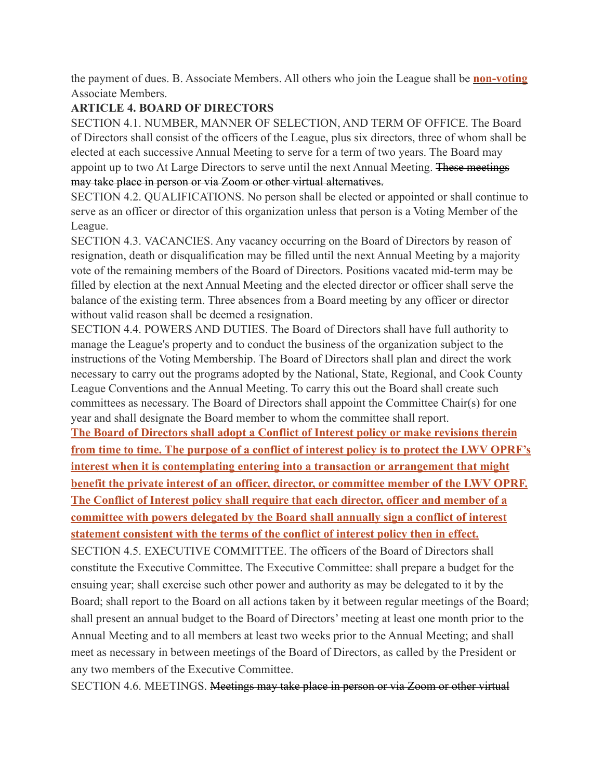the payment of dues. B. Associate Members. All others who join the League shall be **non-voting** Associate Members.

#### **ARTICLE 4. BOARD OF DIRECTORS**

SECTION 4.1. NUMBER, MANNER OF SELECTION, AND TERM OF OFFICE. The Board of Directors shall consist of the officers of the League, plus six directors, three of whom shall be elected at each successive Annual Meeting to serve for a term of two years. The Board may appoint up to two At Large Directors to serve until the next Annual Meeting. These meetings may take place in person or via Zoom or other virtual alternatives.

SECTION 4.2. QUALIFICATIONS. No person shall be elected or appointed or shall continue to serve as an officer or director of this organization unless that person is a Voting Member of the League.

SECTION 4.3. VACANCIES. Any vacancy occurring on the Board of Directors by reason of resignation, death or disqualification may be filled until the next Annual Meeting by a majority vote of the remaining members of the Board of Directors. Positions vacated mid-term may be filled by election at the next Annual Meeting and the elected director or officer shall serve the balance of the existing term. Three absences from a Board meeting by any officer or director without valid reason shall be deemed a resignation.

SECTION 4.4. POWERS AND DUTIES. The Board of Directors shall have full authority to manage the League's property and to conduct the business of the organization subject to the instructions of the Voting Membership. The Board of Directors shall plan and direct the work necessary to carry out the programs adopted by the National, State, Regional, and Cook County League Conventions and the Annual Meeting. To carry this out the Board shall create such committees as necessary. The Board of Directors shall appoint the Committee Chair(s) for one year and shall designate the Board member to whom the committee shall report.

**The Board of Directors shall adopt a Conflict of Interest policy or make revisions therein from time to time. The purpose of a conflict of interest policy is to protect the LWV OPRF's interest when it is contemplating entering into a transaction or arrangement that might benefit the private interest of an officer, director, or committee member of the LWV OPRF. The Conflict of Interest policy shall require that each director, officer and member of a committee with powers delegated by the Board shall annually sign a conflict of interest statement consistent with the terms of the conflict of interest policy then in effect.**  SECTION 4.5. EXECUTIVE COMMITTEE. The officers of the Board of Directors shall constitute the Executive Committee. The Executive Committee: shall prepare a budget for the ensuing year; shall exercise such other power and authority as may be delegated to it by the Board; shall report to the Board on all actions taken by it between regular meetings of the Board; shall present an annual budget to the Board of Directors' meeting at least one month prior to the Annual Meeting and to all members at least two weeks prior to the Annual Meeting; and shall meet as necessary in between meetings of the Board of Directors, as called by the President or any two members of the Executive Committee.

SECTION 4.6. MEETINGS. Meetings may take place in person or via Zoom or other virtual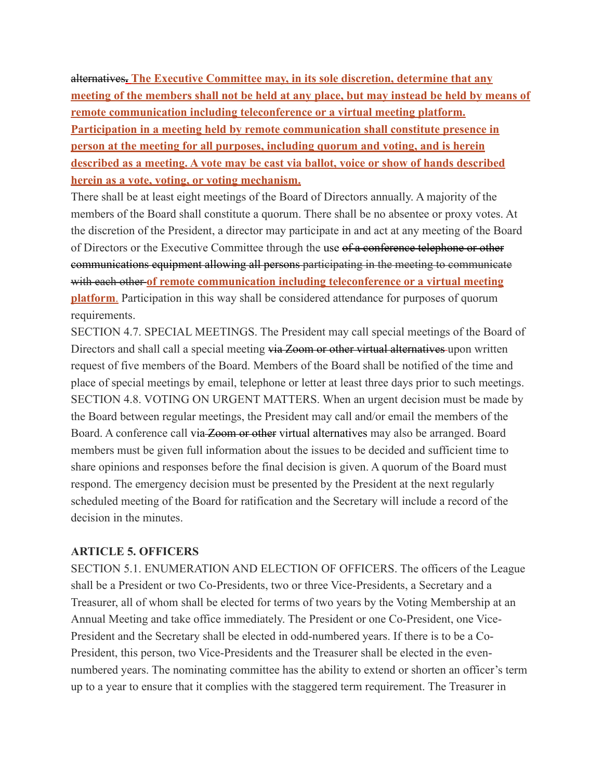alternatives**. The Executive Committee may, in its sole discretion, determine that any meeting of the members shall not be held at any place, but may instead be held by means of remote communication including teleconference or a virtual meeting platform. Participation in a meeting held by remote communication shall constitute presence in person at the meeting for all purposes, including quorum and voting, and is herein described as a meeting. A vote may be cast via ballot, voice or show of hands described herein as a vote, voting, or voting mechanism.**

There shall be at least eight meetings of the Board of Directors annually. A majority of the members of the Board shall constitute a quorum. There shall be no absentee or proxy votes. At the discretion of the President, a director may participate in and act at any meeting of the Board of Directors or the Executive Committee through the use of a conference telephone or other communications equipment allowing all persons participating in the meeting to communicate with each other **of remote communication including teleconference or a virtual meeting platform**. Participation in this way shall be considered attendance for purposes of quorum requirements.

SECTION 4.7. SPECIAL MEETINGS. The President may call special meetings of the Board of Directors and shall call a special meeting via Zoom or other virtual alternatives upon written request of five members of the Board. Members of the Board shall be notified of the time and place of special meetings by email, telephone or letter at least three days prior to such meetings. SECTION 4.8. VOTING ON URGENT MATTERS. When an urgent decision must be made by the Board between regular meetings, the President may call and/or email the members of the Board. A conference call via Zoom or other virtual alternatives may also be arranged. Board members must be given full information about the issues to be decided and sufficient time to share opinions and responses before the final decision is given. A quorum of the Board must respond. The emergency decision must be presented by the President at the next regularly scheduled meeting of the Board for ratification and the Secretary will include a record of the decision in the minutes.

#### **ARTICLE 5. OFFICERS**

SECTION 5.1. ENUMERATION AND ELECTION OF OFFICERS. The officers of the League shall be a President or two Co-Presidents, two or three Vice-Presidents, a Secretary and a Treasurer, all of whom shall be elected for terms of two years by the Voting Membership at an Annual Meeting and take office immediately. The President or one Co-President, one Vice-President and the Secretary shall be elected in odd-numbered years. If there is to be a Co-President, this person, two Vice-Presidents and the Treasurer shall be elected in the evennumbered years. The nominating committee has the ability to extend or shorten an officer's term up to a year to ensure that it complies with the staggered term requirement. The Treasurer in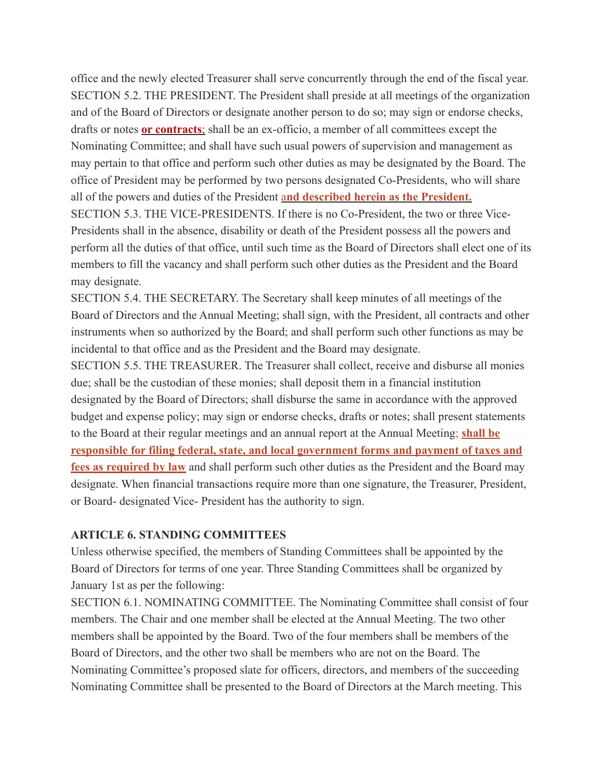office and the newly elected Treasurer shall serve concurrently through the end of the fiscal year. SECTION 5.2. THE PRESIDENT. The President shall preside at all meetings of the organization and of the Board of Directors or designate another person to do so; may sign or endorse checks, drafts or notes **or contracts**; shall be an ex-officio, a member of all committees except the Nominating Committee; and shall have such usual powers of supervision and management as may pertain to that office and perform such other duties as may be designated by the Board. The office of President may be performed by two persons designated Co-Presidents, who will share all of the powers and duties of the President a**nd described herein as the President.** SECTION 5.3. THE VICE-PRESIDENTS. If there is no Co-President, the two or three Vice-Presidents shall in the absence, disability or death of the President possess all the powers and perform all the duties of that office, until such time as the Board of Directors shall elect one of its members to fill the vacancy and shall perform such other duties as the President and the Board may designate.

SECTION 5.4. THE SECRETARY. The Secretary shall keep minutes of all meetings of the Board of Directors and the Annual Meeting; shall sign, with the President, all contracts and other instruments when so authorized by the Board; and shall perform such other functions as may be incidental to that office and as the President and the Board may designate.

SECTION 5.5. THE TREASURER. The Treasurer shall collect, receive and disburse all monies due; shall be the custodian of these monies; shall deposit them in a financial institution designated by the Board of Directors; shall disburse the same in accordance with the approved budget and expense policy; may sign or endorse checks, drafts or notes; shall present statements to the Board at their regular meetings and an annual report at the Annual Meeting; **shall be responsible for filing federal, state, and local government forms and payment of taxes and fees as required by law** and shall perform such other duties as the President and the Board may designate. When financial transactions require more than one signature, the Treasurer, President, or Board- designated Vice- President has the authority to sign.

#### **ARTICLE 6. STANDING COMMITTEES**

Unless otherwise specified, the members of Standing Committees shall be appointed by the Board of Directors for terms of one year. Three Standing Committees shall be organized by January 1st as per the following:

SECTION 6.1. NOMINATING COMMITTEE. The Nominating Committee shall consist of four members. The Chair and one member shall be elected at the Annual Meeting. The two other members shall be appointed by the Board. Two of the four members shall be members of the Board of Directors, and the other two shall be members who are not on the Board. The Nominating Committee's proposed slate for officers, directors, and members of the succeeding Nominating Committee shall be presented to the Board of Directors at the March meeting. This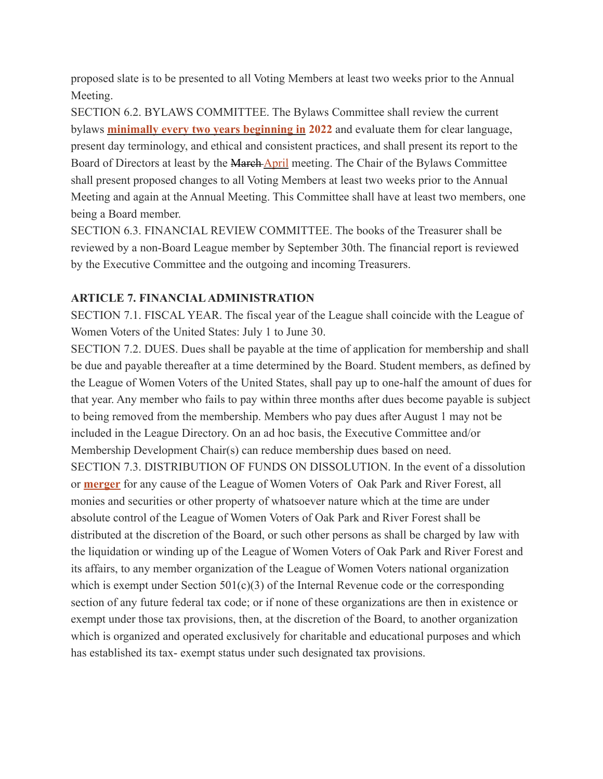proposed slate is to be presented to all Voting Members at least two weeks prior to the Annual Meeting.

SECTION 6.2. BYLAWS COMMITTEE. The Bylaws Committee shall review the current bylaws **minimally every two years beginning in 2022** and evaluate them for clear language, present day terminology, and ethical and consistent practices, and shall present its report to the Board of Directors at least by the March April meeting. The Chair of the Bylaws Committee shall present proposed changes to all Voting Members at least two weeks prior to the Annual Meeting and again at the Annual Meeting. This Committee shall have at least two members, one being a Board member.

SECTION 6.3. FINANCIAL REVIEW COMMITTEE. The books of the Treasurer shall be reviewed by a non-Board League member by September 30th. The financial report is reviewed by the Executive Committee and the outgoing and incoming Treasurers.

#### **ARTICLE 7. FINANCIAL ADMINISTRATION**

SECTION 7.1. FISCAL YEAR. The fiscal year of the League shall coincide with the League of Women Voters of the United States: July 1 to June 30.

SECTION 7.2. DUES. Dues shall be payable at the time of application for membership and shall be due and payable thereafter at a time determined by the Board. Student members, as defined by the League of Women Voters of the United States, shall pay up to one-half the amount of dues for that year. Any member who fails to pay within three months after dues become payable is subject to being removed from the membership. Members who pay dues after August 1 may not be included in the League Directory. On an ad hoc basis, the Executive Committee and/or Membership Development Chair(s) can reduce membership dues based on need. SECTION 7.3. DISTRIBUTION OF FUNDS ON DISSOLUTION. In the event of a dissolution or **merger** for any cause of the League of Women Voters of Oak Park and River Forest, all monies and securities or other property of whatsoever nature which at the time are under absolute control of the League of Women Voters of Oak Park and River Forest shall be distributed at the discretion of the Board, or such other persons as shall be charged by law with the liquidation or winding up of the League of Women Voters of Oak Park and River Forest and its affairs, to any member organization of the League of Women Voters national organization which is exempt under Section  $501(c)(3)$  of the Internal Revenue code or the corresponding section of any future federal tax code; or if none of these organizations are then in existence or exempt under those tax provisions, then, at the discretion of the Board, to another organization which is organized and operated exclusively for charitable and educational purposes and which has established its tax- exempt status under such designated tax provisions.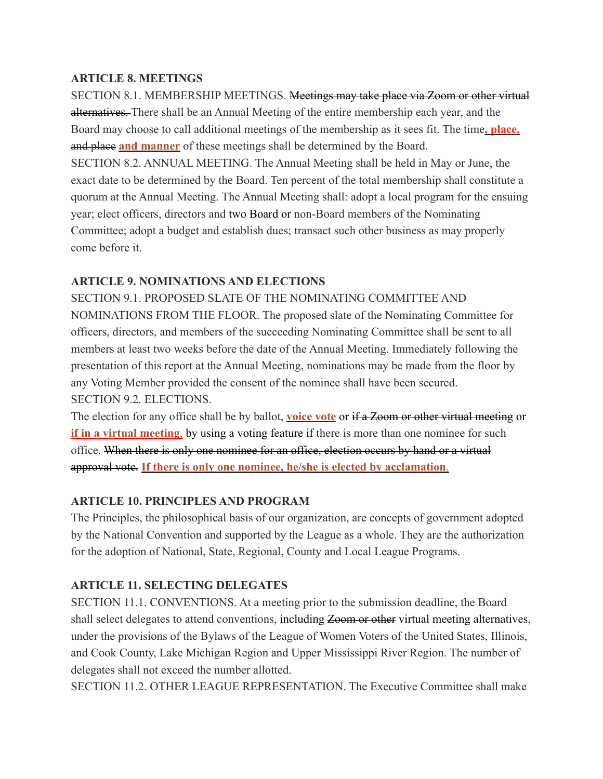## **ARTICLE 8. MEETINGS**

SECTION 8.1. MEMBERSHIP MEETINGS. Meetings may take place via Zoom or other virtual alternatives. There shall be an Annual Meeting of the entire membership each year, and the Board may choose to call additional meetings of the membership as it sees fit. The time**, place,** and place **and manner** of these meetings shall be determined by the Board. SECTION 8.2. ANNUAL MEETING. The Annual Meeting shall be held in May or June, the exact date to be determined by the Board. Ten percent of the total membership shall constitute a quorum at the Annual Meeting. The Annual Meeting shall: adopt a local program for the ensuing year; elect officers, directors and two Board or non-Board members of the Nominating Committee; adopt a budget and establish dues; transact such other business as may properly come before it.

## **ARTICLE 9. NOMINATIONS AND ELECTIONS**

SECTION 9.1. PROPOSED SLATE OF THE NOMINATING COMMITTEE AND NOMINATIONS FROM THE FLOOR. The proposed slate of the Nominating Committee for officers, directors, and members of the succeeding Nominating Committee shall be sent to all members at least two weeks before the date of the Annual Meeting. Immediately following the presentation of this report at the Annual Meeting, nominations may be made from the floor by any Voting Member provided the consent of the nominee shall have been secured. SECTION 9.2. ELECTIONS.

The election for any office shall be by ballot, **voice vote** or if a Zoom or other virtual meeting or **if in a virtual meeting**, by using a voting feature if there is more than one nominee for such office. When there is only one nominee for an office, election occurs by hand or a virtual approval vote. **If there is only one nominee, he/she is elected by acclamation**.

### **ARTICLE 10. PRINCIPLES AND PROGRAM**

The Principles, the philosophical basis of our organization, are concepts of government adopted by the National Convention and supported by the League as a whole. They are the authorization for the adoption of National, State, Regional, County and Local League Programs.

# **ARTICLE 11. SELECTING DELEGATES**

SECTION 11.1. CONVENTIONS. At a meeting prior to the submission deadline, the Board shall select delegates to attend conventions, including Zoom or other virtual meeting alternatives, under the provisions of the Bylaws of the League of Women Voters of the United States, Illinois, and Cook County, Lake Michigan Region and Upper Mississippi River Region. The number of delegates shall not exceed the number allotted.

SECTION 11.2. OTHER LEAGUE REPRESENTATION. The Executive Committee shall make